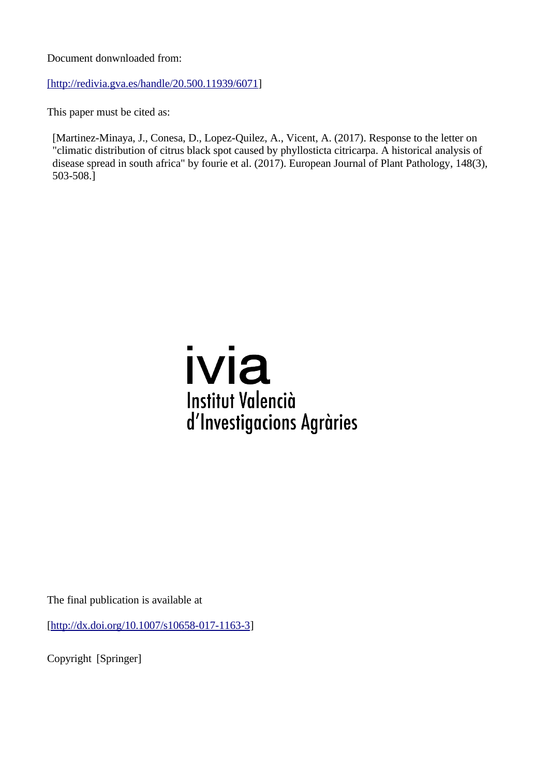Document donwnloaded from:

[http://redivia.gva.es/handle/20.500.11939/6071]

This paper must be cited as:

[Martinez-Minaya, J., Conesa, D., Lopez-Quilez, A., Vicent, A. (2017). Response to the letter on "climatic distribution of citrus black spot caused by phyllosticta citricarpa. A historical analysis of disease spread in south africa" by fourie et al. (2017). European Journal of Plant Pathology, 148(3), 503-508.]

## ivia **Institut Valencià** d'Investigacions Agràries

The final publication is available at

[\[http://dx.doi.org/10.1007/s10658-017-1163-3\]](http://dx.doi.org/10.1007/s10658-017-1163-3)

Copyright [Springer]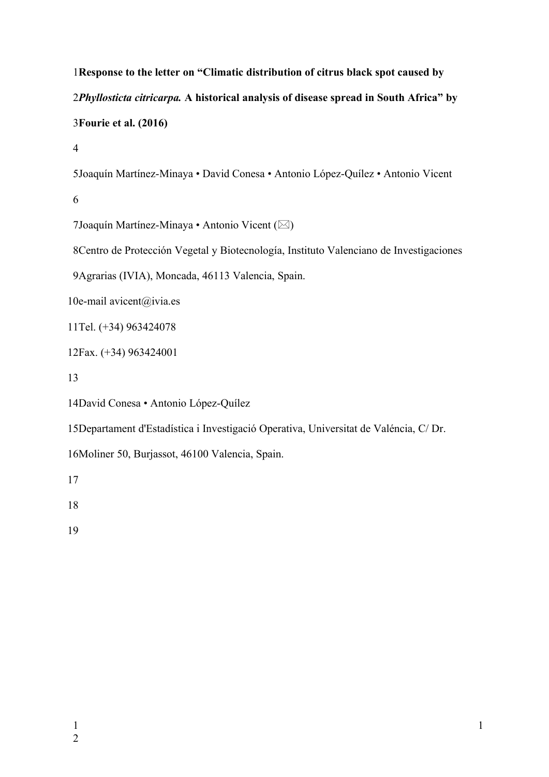**Response to the letter on "Climatic distribution of citrus black spot caused by**  *Phyllosticta citricarpa.* **A historical analysis of disease spread in South Africa" by Fourie et al. (2016)**

Joaquín Martínez-Minaya • David Conesa • Antonio López-Quílez • Antonio Vicent

7 Joaquín Martínez-Minaya • Antonio Vicent ( $\boxtimes$ )

8 Centro de Protección Vegetal y Biotecnología, Instituto Valenciano de Investigaciones

Agrarias (IVIA), Moncada, 46113 Valencia, Spain.

10e-mail avicent@ivia.es

11Tel. (+34) 963424078

12Fax. (+34) 963424001

14 David Conesa · Antonio López-Quílez

15 Departament d'Estadística i Investigació Operativa, Universitat de Valéncia, C/Dr.

16Moliner 50, Burjassot, 46100 Valencia, Spain.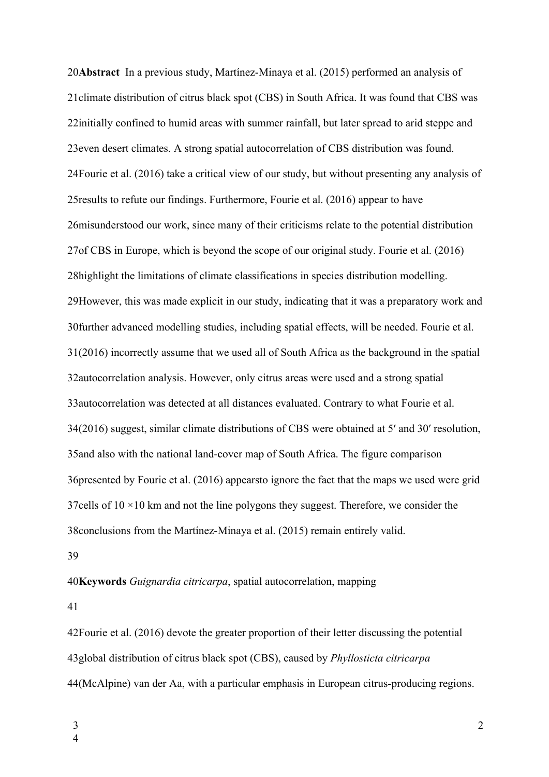**Abstract** In a previous study, Martínez-Minaya et al. (2015) performed an analysis of 20 21 climate distribution of citrus black spot (CBS) in South Africa. It was found that CBS was 22 initially confined to humid areas with summer rainfall, but later spread to arid steppe and 23 even desert climates. A strong spatial autocorrelation of CBS distribution was found. 24 Fourie et al. (2016) take a critical view of our study, but without presenting any analysis of 25 results to refute our findings. Furthermore, Fourie et al. (2016) appear to have 26 misunderstood our work, since many of their criticisms relate to the potential distribution 27 of CBS in Europe, which is beyond the scope of our original study. Fourie et al. (2016) 28 highlight the limitations of climate classifications in species distribution modelling. 29However, this was made explicit in our study, indicating that it was a preparatory work and 30 further advanced modelling studies, including spatial effects, will be needed. Fourie et al. 31(2016) incorrectly assume that we used all of South Africa as the background in the spatial 32autocorrelation analysis. However, only citrus areas were used and a strong spatial 33 autocorrelation was detected at all distances evaluated. Contrary to what Fourie et al. 34(2016) suggest, similar climate distributions of CBS were obtained at 5' and 30' resolution, 35 and also with the national land-cover map of South Africa. The figure comparison 36 presented by Fourie et al. (2016) appearsto ignore the fact that the maps we used were grid 37 cells of  $10 \times 10$  km and not the line polygons they suggest. Therefore, we consider the 38 conclusions from the Martínez-Minaya et al. (2015) remain entirely valid. 39

## **Keywords** *Guignardia citricarpa*, spatial autocorrelation, mapping 40

41

42 Fourie et al. (2016) devote the greater proportion of their letter discussing the potential 43global distribution of citrus black spot (CBS), caused by *Phyllosticta citricarpa* 44 (McAlpine) van der Aa, with a particular emphasis in European citrus-producing regions.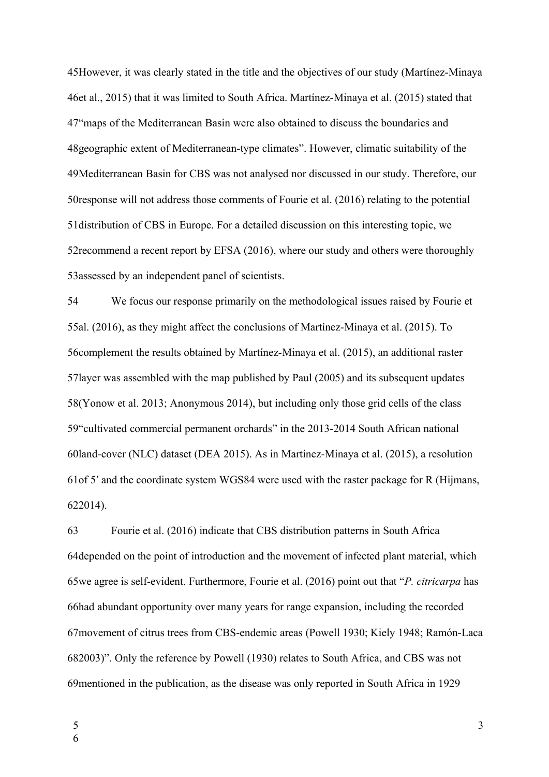45 However, it was clearly stated in the title and the objectives of our study (Martínez-Minaya 46et al., 2015) that it was limited to South Africa. Martínez-Minaya et al. (2015) stated that 47 "maps of the Mediterranean Basin were also obtained to discuss the boundaries and 48 geographic extent of Mediterranean-type climates". However, climatic suitability of the 49Mediterranean Basin for CBS was not analysed nor discussed in our study. Therefore, our 50 response will not address those comments of Fourie et al.  $(2016)$  relating to the potential 51 distribution of CBS in Europe. For a detailed discussion on this interesting topic, we 52 recommend a recent report by EFSA (2016), where our study and others were thoroughly 53assessed by an independent panel of scientists.

We focus our response primarily on the methodological issues raised by Fourie et 55al. (2016), as they might affect the conclusions of Martínez-Minaya et al. (2015). To 56 complement the results obtained by Martínez-Minaya et al. (2015), an additional raster 57 layer was assembled with the map published by Paul (2005) and its subsequent updates 58(Yonow et al. 2013; Anonymous 2014), but including only those grid cells of the class 59 "cultivated commercial permanent orchards" in the 2013-2014 South African national 60land-cover (NLC) dataset (DEA 2015). As in Martínez-Minaya et al. (2015), a resolution 61 of 5' and the coordinate system WGS84 were used with the raster package for R (Hijmans, 2014). 62 54

Fourie et al. (2016) indicate that CBS distribution patterns in South Africa 64 depended on the point of introduction and the movement of infected plant material, which 65we agree is self-evident. Furthermore, Fourie et al. (2016) point out that "*P. citricarpa* has 66had abundant opportunity over many years for range expansion, including the recorded 67 movement of citrus trees from CBS-endemic areas (Powell 1930; Kiely 1948; Ramón-Laca 682003)". Only the reference by Powell (1930) relates to South Africa, and CBS was not 69 mentioned in the publication, as the disease was only reported in South Africa in 1929 63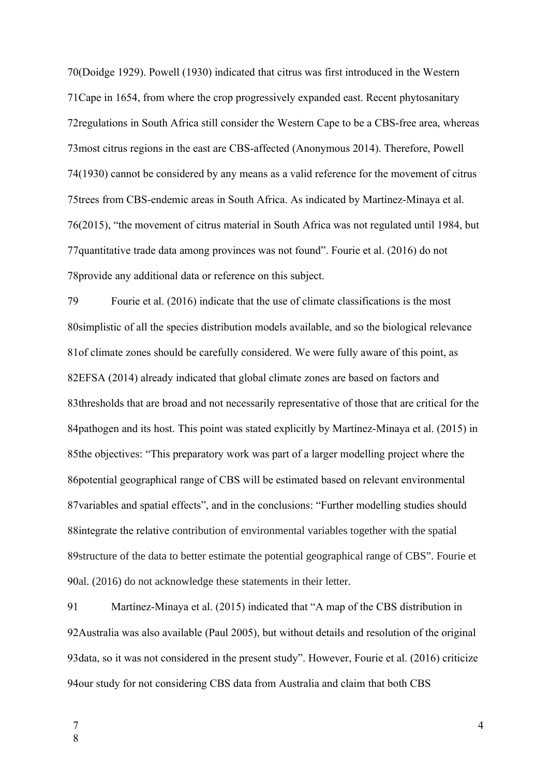70(Doidge 1929). Powell (1930) indicated that citrus was first introduced in the Western 71 Cape in 1654, from where the crop progressively expanded east. Recent phytosanitary 72 regulations in South Africa still consider the Western Cape to be a CBS-free area, whereas 73 most citrus regions in the east are CBS-affected (Anonymous 2014). Therefore, Powell 74(1930) cannot be considered by any means as a valid reference for the movement of citrus 75trees from CBS-endemic areas in South Africa. As indicated by Martínez-Minaya et al. 76(2015), "the movement of citrus material in South Africa was not regulated until 1984, but 77 quantitative trade data among provinces was not found". Fourie et al. (2016) do not 78 provide any additional data or reference on this subject.

Fourie et al. (2016) indicate that the use of climate classifications is the most 80 simplistic of all the species distribution models available, and so the biological relevance 81 of climate zones should be carefully considered. We were fully aware of this point, as 82EFSA (2014) already indicated that global climate zones are based on factors and 83thresholds that are broad and not necessarily representative of those that are critical for the 84 pathogen and its host. This point was stated explicitly by Martínez-Minaya et al. (2015) in 85the objectives: "This preparatory work was part of a larger modelling project where the 86 potential geographical range of CBS will be estimated based on relevant environmental 87 variables and spatial effects", and in the conclusions: "Further modelling studies should 88integrate the relative contribution of environmental variables together with the spatial 89 structure of the data to better estimate the potential geographical range of CBS". Fourie et 90al. (2016) do not acknowledge these statements in their letter. 79

Martínez-Minaya et al. (2015) indicated that "A map of the CBS distribution in 92 Australia was also available (Paul 2005), but without details and resolution of the original 93 data, so it was not considered in the present study". However, Fourie et al. (2016) criticize 94 our study for not considering CBS data from Australia and claim that both CBS 91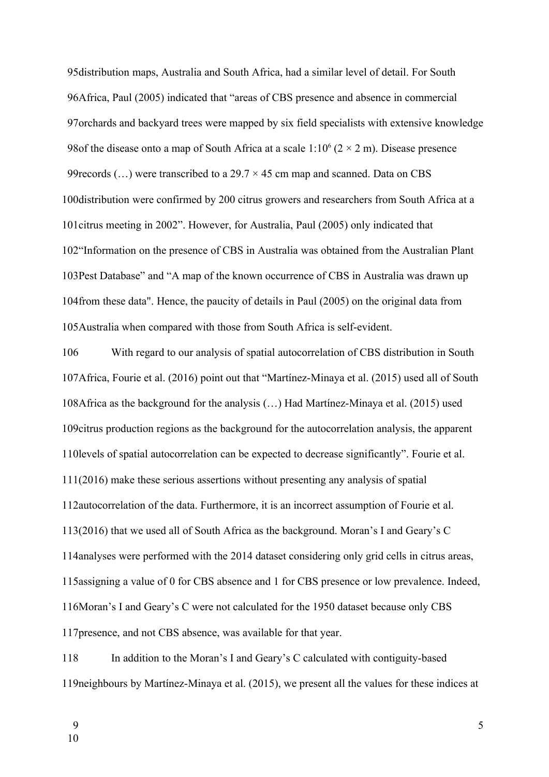95 distribution maps, Australia and South Africa, had a similar level of detail. For South 96 Africa, Paul (2005) indicated that "areas of CBS presence and absence in commercial 97 orchards and backyard trees were mapped by six field specialists with extensive knowledge 98 of the disease onto a map of South Africa at a scale  $1:10^6$  ( $2 \times 2$  m). Disease presence 99 records  $(...)$  were transcribed to a 29.7  $\times$  45 cm map and scanned. Data on CBS 100 distribution were confirmed by 200 citrus growers and researchers from South Africa at a 101 citrus meeting in 2002". However, for Australia, Paul (2005) only indicated that 102 'Information on the presence of CBS in Australia was obtained from the Australian Plant 103Pest Database" and "A map of the known occurrence of CBS in Australia was drawn up 104 from these data". Hence, the paucity of details in Paul (2005) on the original data from 105 Australia when compared with those from South Africa is self-evident.

With regard to our analysis of spatial autocorrelation of CBS distribution in South 107Africa, Fourie et al. (2016) point out that "Martínez-Minaya et al. (2015) used all of South 108 Africa as the background for the analysis (...) Had Martínez-Minaya et al. (2015) used 109 citrus production regions as the background for the autocorrelation analysis, the apparent 110 levels of spatial autocorrelation can be expected to decrease significantly". Fourie et al.  $111(2016)$  make these serious assertions without presenting any analysis of spatial 112autocorrelation of the data. Furthermore, it is an incorrect assumption of Fourie et al. 113(2016) that we used all of South Africa as the background. Moran's I and Geary's C 114 analyses were performed with the 2014 dataset considering only grid cells in citrus areas, 115 assigning a value of 0 for CBS absence and 1 for CBS presence or low prevalence. Indeed, 116Moran's I and Geary's C were not calculated for the 1950 dataset because only CBS 117 presence, and not CBS absence, was available for that year. 106

In addition to the Moran's I and Geary's C calculated with contiguity-based 119 neighbours by Martínez-Minaya et al. (2015), we present all the values for these indices at 118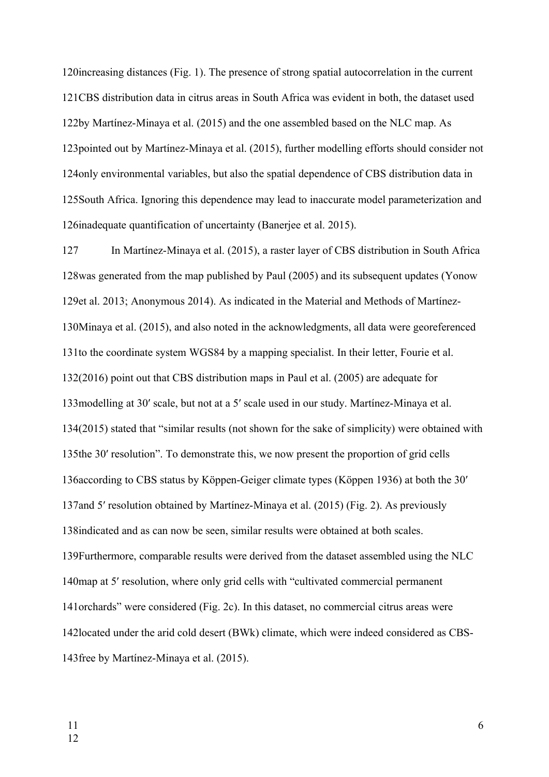120 increasing distances (Fig. 1). The presence of strong spatial autocorrelation in the current 121CBS distribution data in citrus areas in South Africa was evident in both, the dataset used 122by Martínez-Minaya et al. (2015) and the one assembled based on the NLC map. As 123 pointed out by Martínez-Minaya et al. (2015), further modelling efforts should consider not 124 only environmental variables, but also the spatial dependence of CBS distribution data in 125 South Africa. Ignoring this dependence may lead to inaccurate model parameterization and 126inadequate quantification of uncertainty (Banerjee et al. 2015).

In Martínez-Minaya et al. (2015), a raster layer of CBS distribution in South Africa 128was generated from the map published by Paul (2005) and its subsequent updates (Yonow 129et al. 2013; Anonymous 2014). As indicated in the Material and Methods of Martínez-130Minaya et al. (2015), and also noted in the acknowledgments, all data were georeferenced 131to the coordinate system WGS84 by a mapping specialist. In their letter, Fourie et al.  $132(2016)$  point out that CBS distribution maps in Paul et al.  $(2005)$  are adequate for 133 modelling at 30' scale, but not at a 5' scale used in our study. Martínez-Minaya et al. 134(2015) stated that "similar results (not shown for the sake of simplicity) were obtained with 135the 30' resolution". To demonstrate this, we now present the proportion of grid cells 136 according to CBS status by Köppen-Geiger climate types (Köppen 1936) at both the 30' 137 and 5' resolution obtained by Martínez-Minaya et al. (2015) (Fig. 2). As previously 138 indicated and as can now be seen, similar results were obtained at both scales. 139Furthermore, comparable results were derived from the dataset assembled using the NLC 140map at 5' resolution, where only grid cells with "cultivated commercial permanent 141 orchards" were considered (Fig. 2c). In this dataset, no commercial citrus areas were 142located under the arid cold desert (BWk) climate, which were indeed considered as CBS-143 free by Martínez-Minaya et al. (2015). 127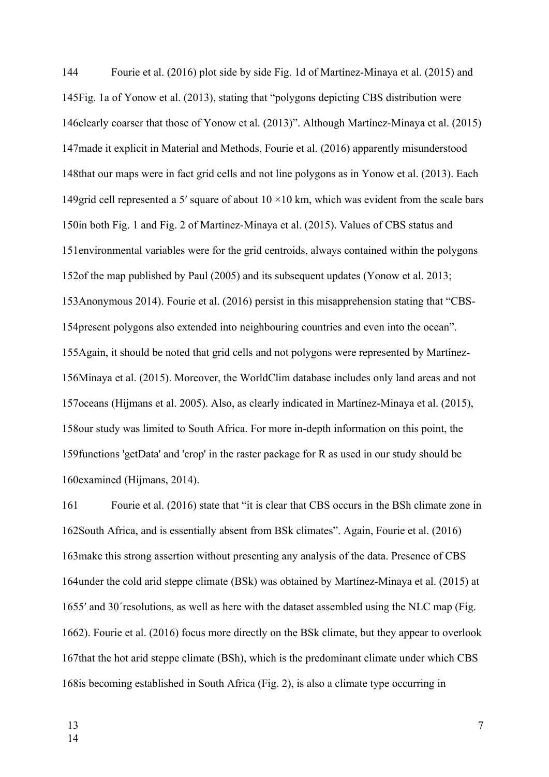Fourie et al. (2016) plot side by side Fig. 1d of Martínez-Minaya et al. (2015) and 145 Fig. 1a of Yonow et al. (2013), stating that "polygons depicting CBS distribution were 146 clearly coarser that those of Yonow et al. (2013)". Although Martínez-Minaya et al. (2015) 147 made it explicit in Material and Methods, Fourie et al. (2016) apparently misunderstood 148that our maps were in fact grid cells and not line polygons as in Yonow et al. (2013). Each 149 grid cell represented a 5' square of about  $10 \times 10$  km, which was evident from the scale bars 150in both Fig. 1 and Fig. 2 of Martínez-Minaya et al. (2015). Values of CBS status and 151 environmental variables were for the grid centroids, always contained within the polygons 152of the map published by Paul  $(2005)$  and its subsequent updates (Yonow et al. 2013; 153Anonymous 2014). Fourie et al. (2016) persist in this misapprehension stating that "CBS-154 present polygons also extended into neighbouring countries and even into the ocean". 155 Again, it should be noted that grid cells and not polygons were represented by Martínez-156Minaya et al. (2015). Moreover, the WorldClim database includes only land areas and not 157 oceans (Hijmans et al. 2005). Also, as clearly indicated in Martínez-Minaya et al. (2015), 158 our study was limited to South Africa. For more in-depth information on this point, the 159 functions 'getData' and 'crop' in the raster package for R as used in our study should be 160examined (Hijmans, 2014). 144

Fourie et al. (2016) state that "it is clear that CBS occurs in the BSh climate zone in 162 South Africa, and is essentially absent from BSk climates". Again, Fourie et al. (2016) 163 make this strong assertion without presenting any analysis of the data. Presence of CBS 164 under the cold arid steppe climate (BSk) was obtained by Martínez-Minaya et al. (2015) at 1655' and 30' resolutions, as well as here with the dataset assembled using the NLC map (Fig. 2). Fourie et al. (2016) focus more directly on the BSk climate, but they appear to overlook 166 167 that the hot arid steppe climate (BSh), which is the predominant climate under which CBS 168 is becoming established in South Africa (Fig. 2), is also a climate type occurring in 161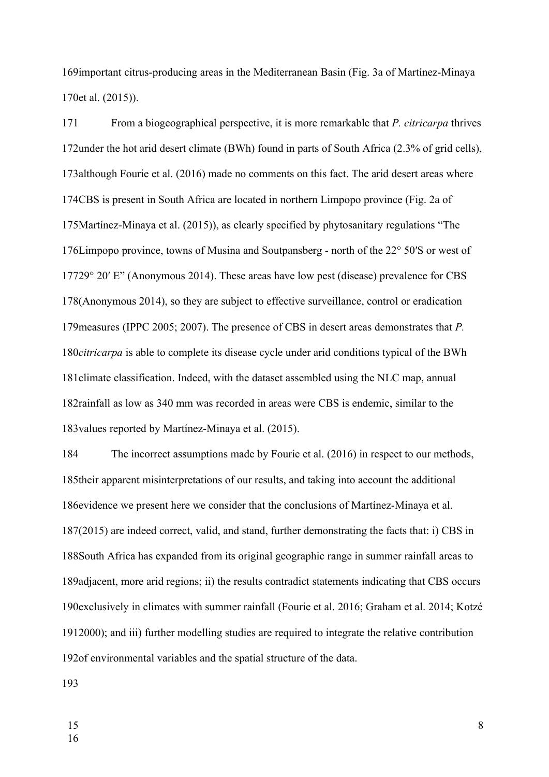169 important citrus-producing areas in the Mediterranean Basin (Fig. 3a of Martínez-Minaya 170et al. (2015)).

From a biogeographical perspective, it is more remarkable that *P. citricarpa* thrives 172 under the hot arid desert climate (BWh) found in parts of South Africa (2.3% of grid cells), 173 although Fourie et al. (2016) made no comments on this fact. The arid desert areas where 174CBS is present in South Africa are located in northern Limpopo province (Fig. 2a of 175Martínez-Minaya et al. (2015)), as clearly specified by phytosanitary regulations "The 176Limpopo province, towns of Musina and Soutpansberg - north of the 22° 50'S or west of 17729° 20′ E" (Anonymous 2014). These areas have low pest (disease) prevalence for CBS 178(Anonymous 2014), so they are subject to effective surveillance, control or eradication 179 measures (IPPC 2005; 2007). The presence of CBS in desert areas demonstrates that *P*. 180*citricarpa* is able to complete its disease cycle under arid conditions typical of the BWh 181 climate classification. Indeed, with the dataset assembled using the NLC map, annual 182 rainfall as low as 340 mm was recorded in areas were CBS is endemic, similar to the 183 values reported by Martínez-Minaya et al. (2015). 171

The incorrect assumptions made by Fourie et al. (2016) in respect to our methods, 185 their apparent misinterpretations of our results, and taking into account the additional 186 evidence we present here we consider that the conclusions of Martínez-Minaya et al. 187(2015) are indeed correct, valid, and stand, further demonstrating the facts that: i) CBS in 188 South Africa has expanded from its original geographic range in summer rainfall areas to 189adjacent, more arid regions; ii) the results contradict statements indicating that CBS occurs 190 exclusively in climates with summer rainfall (Fourie et al. 2016; Graham et al. 2014; Kotzé 1912000); and iii) further modelling studies are required to integrate the relative contribution 192of environmental variables and the spatial structure of the data. 184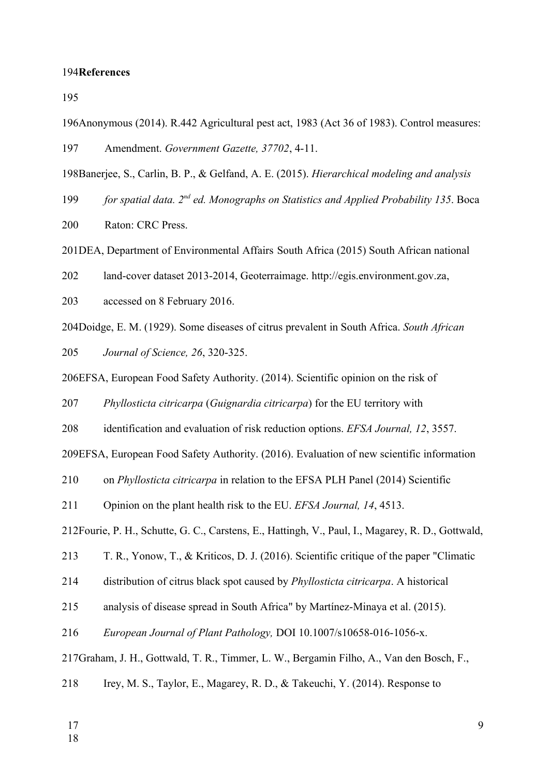## 194References

195

- 196Anonymous (2014). R.442 Agricultural pest act, 1983 (Act 36 of 1983). Control measures: Amendment. *Government Gazette, 37702*, 4-11. 197
- 198Banerjee, S., Carlin, B. P., & Gelfand, A. E. (2015). *Hierarchical modeling and analysis*
- *for spatial data. 2nd ed. Monographs on Statistics and Applied Probability 135*. Boca 199

Raton: CRC Press. 200

201DEA, Department of Environmental Affairs South Africa (2015) South African national

land-cover dataset 2013-2014, Geoterraimage. [http://egis.environment.gov.za](http://egis.environment.gov.za/), 202

accessed on 8 February 2016. 203

204Doidge, E. M. (1929). Some diseases of citrus prevalent in South Africa. *South African* 

*Journal of Science, 26*, 320-325. 205

206EFSA, European Food Safety Authority. (2014). Scientific opinion on the risk of

*Phyllosticta citricarpa* (*Guignardia citricarpa*) for the EU territory with 207

identification and evaluation of risk reduction options. *EFSA Journal, 12*, 3557. 208

209EFSA, European Food Safety Authority. (2016). Evaluation of new scientific information

on *Phyllosticta citricarpa* in relation to the EFSA PLH Panel (2014) Scientific 210

Opinion on the plant health risk to the EU. *EFSA Journal, 14*, 4513. 211

212Fourie, P. H., Schutte, G. C., Carstens, E., Hattingh, V., Paul, I., Magarey, R. D., Gottwald,

T. R., Yonow, T., & Kriticos, D. J. (2016). Scientific critique of the paper "Climatic 213

distribution of citrus black spot caused by *Phyllosticta citricarpa*. A historical 214

analysis of disease spread in South Africa" by Martínez-Minaya et al. (2015). 215

*European Journal of Plant Pathology,* DOI 10.1007/s10658-016-1056-x. 216

217Graham, J. H., Gottwald, T. R., Timmer, L. W., Bergamin Filho, A., Van den Bosch, F.,

Irey, M. S., Taylor, E., Magarey, R. D., & Takeuchi, Y. (2014). Response to 218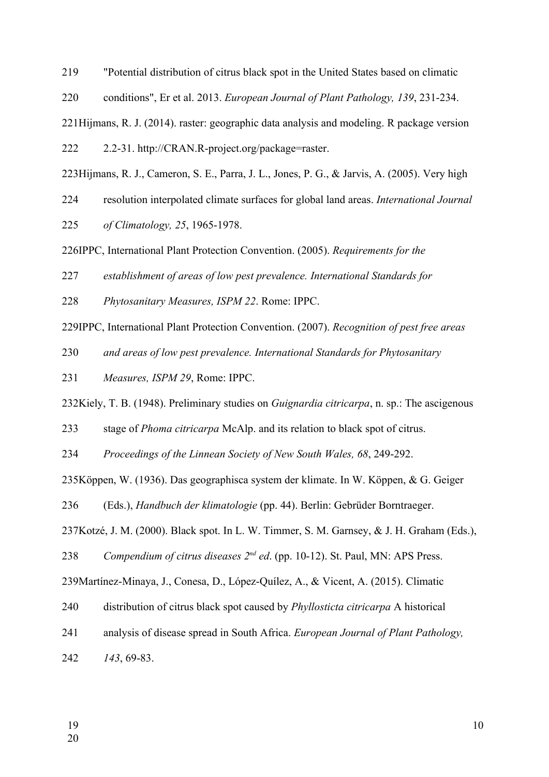"Potential distribution of citrus black spot in the United States based on climatic 219

conditions", Er et al. 2013. *European Journal of Plant Pathology, 139*, 231-234. 220

221Hijmans, R. J. (2014). raster: geographic data analysis and modeling. R package version

2.2-31. http://CRAN.R-project.org/package=raster. 222

223Hijmans, R. J., Cameron, S. E., Parra, J. L., Jones, P. G., & Jarvis, A. (2005). Very high

resolution interpolated climate surfaces for global land areas. *International Journal*  224

*of Climatology, 25*, 1965-1978. 225

226IPPC, International Plant Protection Convention. (2005). *Requirements for the* 

*establishment of areas of low pest prevalence. International Standards for*  227

*Phytosanitary Measures, ISPM 22*. Rome: IPPC. 228

229IPPC, International Plant Protection Convention. (2007). *Recognition of pest free areas* 

*and areas of low pest prevalence. International Standards for Phytosanitary*  230

*Measures, ISPM 29*, Rome: IPPC. 231

232Kiely, T. B. (1948). Preliminary studies on *Guignardia citricarpa*, n. sp.: The ascigenous

stage of *Phoma citricarpa* McAlp. and its relation to black spot of citrus. 233

*Proceedings of the Linnean Society of New South Wales, 68*, 249-292. 234

235Köppen, W. (1936). Das geographisca system der klimate. In W. Köppen, & G. Geiger

(Eds.), *Handbuch der klimatologie* (pp. 44). Berlin: Gebrüder Borntraeger. 236

237Kotzé, J. M. (2000). Black spot. In L. W. Timmer, S. M. Garnsey, & J. H. Graham (Eds.),

Compendium of citrus diseases  $2^{nd}$  ed. (pp. 10-12). St. Paul, MN: APS Press. 238

239 Martínez-Minaya, J., Conesa, D., López-Quílez, A., & Vicent, A. (2015). Climatic

distribution of citrus black spot caused by *Phyllosticta citricarpa* A historical 240

analysis of disease spread in South Africa. *European Journal of Plant Pathology,*  241

*143*, 69-83. 242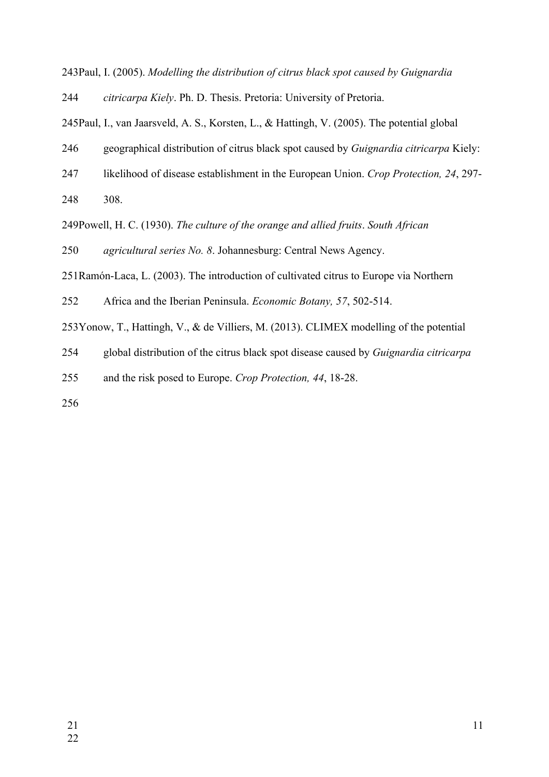243Paul, I. (2005). Modelling the distribution of citrus black spot caused by Guignardia

*citricarpa Kiely*. Ph. D. Thesis. Pretoria: University of Pretoria. 244

245 Paul, I., van Jaarsveld, A. S., Korsten, L., & Hattingh, V. (2005). The potential global

geographical distribution of citrus black spot caused by *Guignardia citricarpa* Kiely: 246

- likelihood of disease establishment in the European Union. *Crop Protection, 24*, 297- 247
- 308. 248

249Powell, H. C. (1930). *The culture of the orange and allied fruits*. *South African* 

*agricultural series No. 8*. Johannesburg: Central News Agency. 250

251 Ramón-Laca, L. (2003). The introduction of cultivated citrus to Europe via Northern

Africa and the Iberian Peninsula. *Economic Botany, 57*, 502-514. 252

253Yonow, T., Hattingh, V., & de Villiers, M. (2013). CLIMEX modelling of the potential

global distribution of the citrus black spot disease caused by *Guignardia citricarpa* 254

and the risk posed to Europe. *Crop Protection, 44*, 18-28. 255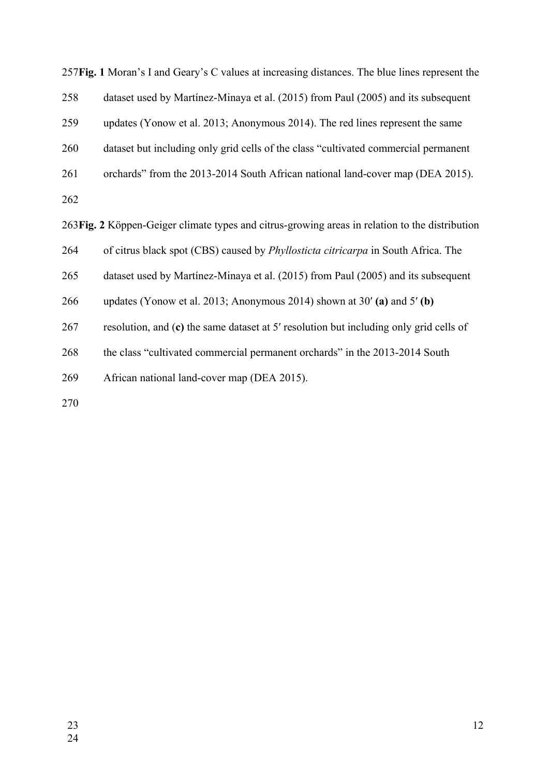257 Fig. 1 Moran's I and Geary's C values at increasing distances. The blue lines represent the dataset used by Martínez-Minaya et al. (2015) from Paul (2005) and its subsequent updates (Yonow et al. 2013; Anonymous 2014). The red lines represent the same dataset but including only grid cells of the class "cultivated commercial permanent orchards" from the 2013-2014 South African national land-cover map (DEA 2015). **Fig. 2** Köppen-Geiger climate types and citrus-growing areas in relation to the distribution 263 of citrus black spot (CBS) caused by *Phyllosticta citricarpa* in South Africa. The dataset used by Martínez-Minaya et al. (2015) from Paul (2005) and its subsequent updates (Yonow et al. 2013; Anonymous 2014) shown at 30′ **(a)** and 5′ **(b)** resolution, and (**c)** the same dataset at 5′ resolution but including only grid cells of the class "cultivated commercial permanent orchards" in the 2013-2014 South African national land-cover map (DEA 2015). 258 259 260 261 262 264 265 266 267 268 269 270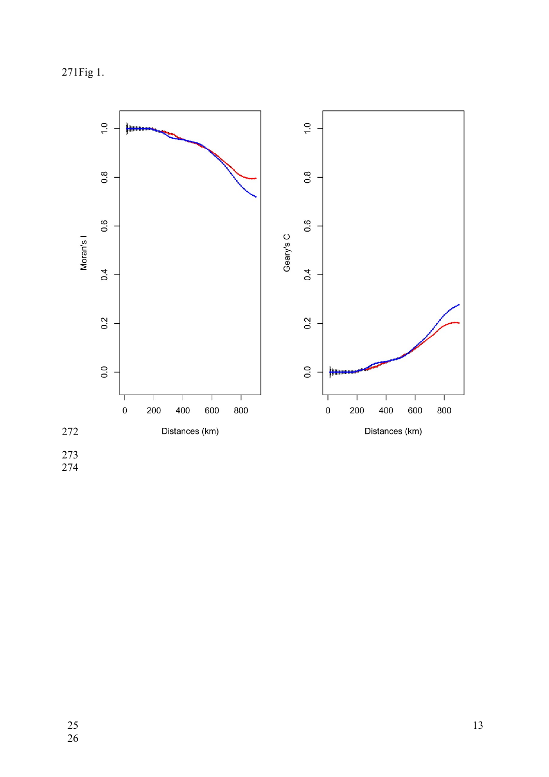271Fig 1.